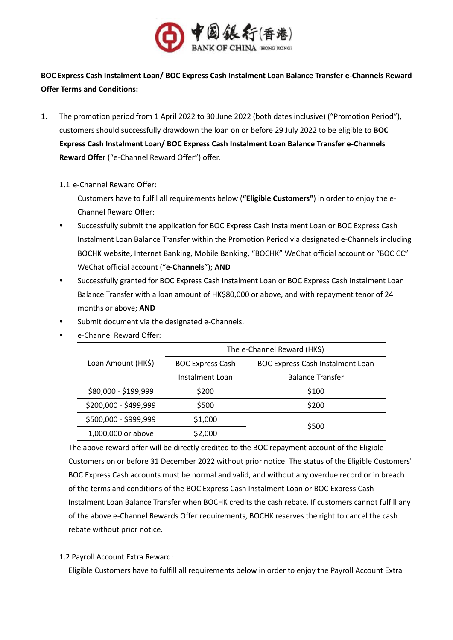

**BOC Express Cash Instalment Loan/ BOC Express Cash Instalment Loan Balance Transfer e-Channels Reward Offer Terms and Conditions:**

- 1. The promotion period from 1 April 2022 to 30 June 2022 (both dates inclusive) ("Promotion Period"), customers should successfully drawdown the loan on or before 29 July 2022 to be eligible to **BOC Express Cash Instalment Loan/ BOC Express Cash Instalment Loan Balance Transfer e-Channels Reward Offer** ("e-Channel Reward Offer") offer.
	- 1.1 e-Channel Reward Offer:

Customers have to fulfil all requirements below (**"Eligible Customers"**) in order to enjoy the e-Channel Reward Offer:

- Successfully submit the application for BOC Express Cash Instalment Loan or BOC Express Cash Instalment Loan Balance Transfer within the Promotion Period via designated e-Channels including BOCHK website, Internet Banking, Mobile Banking, "BOCHK" WeChat official account or "BOC CC" WeChat official account ("**e-Channels**"); **AND**
- Successfully granted for BOC Express Cash Instalment Loan or BOC Express Cash Instalment Loan Balance Transfer with a loan amount of HK\$80,000 or above, and with repayment tenor of 24 months or above; **AND**
- Submit document via the designated e-Channels.

|                       | The e-Channel Reward (HK\$) |                                         |
|-----------------------|-----------------------------|-----------------------------------------|
| Loan Amount (HK\$)    | <b>BOC Express Cash</b>     | <b>BOC Express Cash Instalment Loan</b> |
|                       | Instalment Loan             | <b>Balance Transfer</b>                 |
| \$80,000 - \$199,999  | \$200                       | \$100                                   |
| \$200,000 - \$499,999 | \$500                       | \$200                                   |
| \$500,000 - \$999,999 | \$1,000                     | \$500                                   |
| 1,000,000 or above    | \$2,000                     |                                         |

e-Channel Reward Offer:

The above reward offer will be directly credited to the BOC repayment account of the Eligible Customers on or before 31 December 2022 without prior notice. The status of the Eligible Customers' BOC Express Cash accounts must be normal and valid, and without any overdue record or in breach of the terms and conditions of the BOC Express Cash Instalment Loan or BOC Express Cash Instalment Loan Balance Transfer when BOCHK credits the cash rebate. If customers cannot fulfill any of the above e-Channel Rewards Offer requirements, BOCHK reserves the right to cancel the cash rebate without prior notice.

1.2 Payroll Account Extra Reward:

Eligible Customers have to fulfill all requirements below in order to enjoy the Payroll Account Extra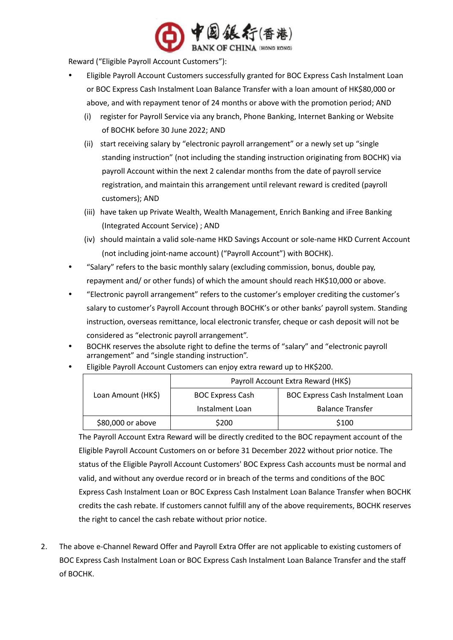

Reward ("Eligible Payroll Account Customers"):

- Eligible Payroll Account Customers successfully granted for BOC Express Cash Instalment Loan or BOC Express Cash Instalment Loan Balance Transfer with a loan amount of HK\$80,000 or above, and with repayment tenor of 24 months or above with the promotion period; AND
	- (i) register for Payroll Service via any branch, Phone Banking, Internet Banking or Website of BOCHK before 30 June 2022; AND
	- (ii) start receiving salary by "electronic payroll arrangement" or a newly set up "single standing instruction" (not including the standing instruction originating from BOCHK) via payroll Account within the next 2 calendar months from the date of payroll service registration, and maintain this arrangement until relevant reward is credited (payroll customers); AND
	- (iii) have taken up Private Wealth, Wealth Management, Enrich Banking and iFree Banking (Integrated Account Service) ; AND
	- (iv) should maintain a valid sole-name HKD Savings Account or sole-name HKD Current Account (not including joint-name account) ("Payroll Account") with BOCHK).
- "Salary" refers to the basic monthly salary (excluding commission, bonus, double pay, repayment and/ or other funds) of which the amount should reach HK\$10,000 or above.
- "Electronic payroll arrangement" refers to the customer's employer crediting the customer's salary to customer's Payroll Account through BOCHK's or other banks' payroll system. Standing instruction, overseas remittance, local electronic transfer, cheque or cash deposit will not be considered as "electronic payroll arrangement".
- BOCHK reserves the absolute right to define the terms of "salary" and "electronic payroll arrangement" and "single standing instruction".

|                    | Payroll Account Extra Reward (HK\$) |                                         |
|--------------------|-------------------------------------|-----------------------------------------|
| Loan Amount (HK\$) | <b>BOC Express Cash</b>             | <b>BOC Express Cash Instalment Loan</b> |
|                    | Instalment Loan                     | <b>Balance Transfer</b>                 |
| \$80,000 or above  | \$200                               | \$100                                   |

Eligible Payroll Account Customers can enjoy extra reward up to HK\$200.

The Payroll Account Extra Reward will be directly credited to the BOC repayment account of the Eligible Payroll Account Customers on or before 31 December 2022 without prior notice. The status of the Eligible Payroll Account Customers' BOC Express Cash accounts must be normal and valid, and without any overdue record or in breach of the terms and conditions of the BOC Express Cash Instalment Loan or BOC Express Cash Instalment Loan Balance Transfer when BOCHK credits the cash rebate. If customers cannot fulfill any of the above requirements, BOCHK reserves the right to cancel the cash rebate without prior notice.

2. The above e-Channel Reward Offer and Payroll Extra Offer are not applicable to existing customers of BOC Express Cash Instalment Loan or BOC Express Cash Instalment Loan Balance Transfer and the staff of BOCHK.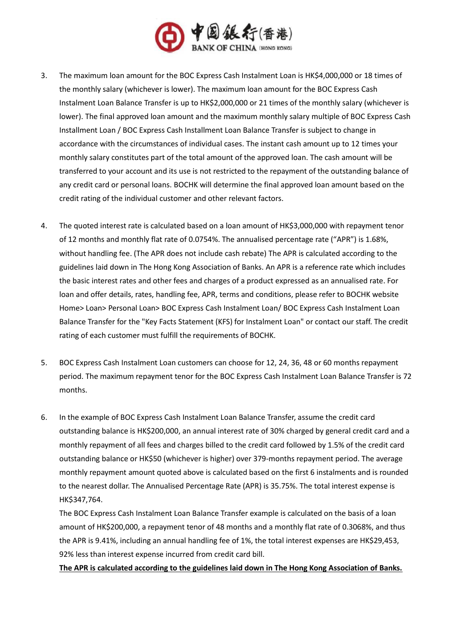

- 3. The maximum loan amount for the BOC Express Cash Instalment Loan is HK\$4,000,000 or 18 times of the monthly salary (whichever is lower). The maximum loan amount for the BOC Express Cash Instalment Loan Balance Transfer is up to HK\$2,000,000 or 21 times of the monthly salary (whichever is lower). The final approved loan amount and the maximum monthly salary multiple of BOC Express Cash Installment Loan / BOC Express Cash Installment Loan Balance Transfer is subject to change in accordance with the circumstances of individual cases. The instant cash amount up to 12 times your monthly salary constitutes part of the total amount of the approved loan. The cash amount will be transferred to your account and its use is not restricted to the repayment of the outstanding balance of any credit card or personal loans. BOCHK will determine the final approved loan amount based on the credit rating of the individual customer and other relevant factors.
- 4. The quoted interest rate is calculated based on a loan amount of HK\$3,000,000 with repayment tenor of 12 months and monthly flat rate of 0.0754%. The annualised percentage rate ("APR") is 1.68%, without handling fee. (The APR does not include cash rebate) The APR is calculated according to the guidelines laid down in The Hong Kong Association of Banks. An APR is a reference rate which includes the basic interest rates and other fees and charges of a product expressed as an annualised rate. For loan and offer details, rates, handling fee, APR, terms and conditions, please refer to BOCHK website Home> Loan> Personal Loan> BOC Express Cash Instalment Loan/ BOC Express Cash Instalment Loan Balance Transfer for the "Key Facts Statement (KFS) for Instalment Loan" or contact our staff. The credit rating of each customer must fulfill the requirements of BOCHK.
- 5. BOC Express Cash Instalment Loan customers can choose for 12, 24, 36, 48 or 60 months repayment period. The maximum repayment tenor for the BOC Express Cash Instalment Loan Balance Transfer is 72 months.
- 6. In the example of BOC Express Cash Instalment Loan Balance Transfer, assume the credit card outstanding balance is HK\$200,000, an annual interest rate of 30% charged by general credit card and a monthly repayment of all fees and charges billed to the credit card followed by 1.5% of the credit card outstanding balance or HK\$50 (whichever is higher) over 379-months repayment period. The average monthly repayment amount quoted above is calculated based on the first 6 instalments and is rounded to the nearest dollar. The Annualised Percentage Rate (APR) is 35.75%. The total interest expense is HK\$347,764.

The BOC Express Cash Instalment Loan Balance Transfer example is calculated on the basis of a loan amount of HK\$200,000, a repayment tenor of 48 months and a monthly flat rate of 0.3068%, and thus the APR is 9.41%, including an annual handling fee of 1%, the total interest expenses are HK\$29,453, 92% less than interest expense incurred from credit card bill.

**The APR is calculated according to the guidelines laid down in The Hong Kong Association of Banks.**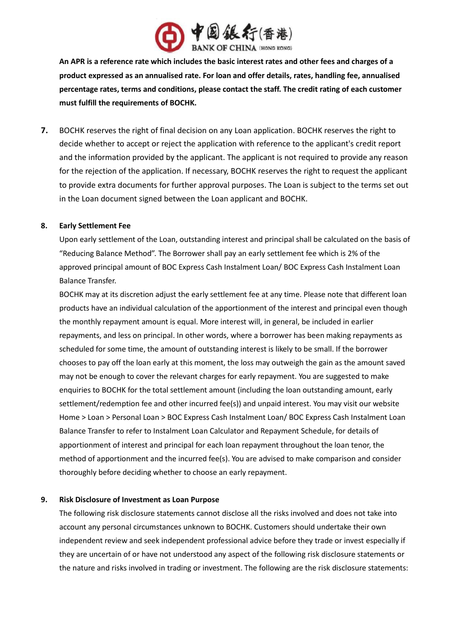

**An APR is a reference rate which includes the basic interest rates and other fees and charges of a product expressed as an annualised rate. For loan and offer details, rates, handling fee, annualised percentage rates, terms and conditions, please contact the staff. The credit rating of each customer must fulfill the requirements of BOCHK.** 

**7.** BOCHK reserves the right of final decision on any Loan application. BOCHK reserves the right to decide whether to accept or reject the application with reference to the applicant's credit report and the information provided by the applicant. The applicant is not required to provide any reason for the rejection of the application. If necessary, BOCHK reserves the right to request the applicant to provide extra documents for further approval purposes. The Loan is subject to the terms set out in the Loan document signed between the Loan applicant and BOCHK.

# **8. Early Settlement Fee**

Upon early settlement of the Loan, outstanding interest and principal shall be calculated on the basis of "Reducing Balance Method". The Borrower shall pay an early settlement fee which is 2% of the approved principal amount of BOC Express Cash Instalment Loan/ BOC Express Cash Instalment Loan Balance Transfer.

BOCHK may at its discretion adjust the early settlement fee at any time. Please note that different loan products have an individual calculation of the apportionment of the interest and principal even though the monthly repayment amount is equal. More interest will, in general, be included in earlier repayments, and less on principal. In other words, where a borrower has been making repayments as scheduled for some time, the amount of outstanding interest is likely to be small. If the borrower chooses to pay off the loan early at this moment, the loss may outweigh the gain as the amount saved may not be enough to cover the relevant charges for early repayment. You are suggested to make enquiries to BOCHK for the total settlement amount (including the loan outstanding amount, early settlement/redemption fee and other incurred fee(s)) and unpaid interest. You may visit our website Home > Loan > Personal Loan > BOC Express Cash Instalment Loan/ BOC Express Cash Instalment Loan Balance Transfer to refer to Instalment Loan Calculator and Repayment Schedule, for details of apportionment of interest and principal for each loan repayment throughout the loan tenor, the method of apportionment and the incurred fee(s). You are advised to make comparison and consider thoroughly before deciding whether to choose an early repayment.

#### **9. Risk Disclosure of Investment as Loan Purpose**

The following risk disclosure statements cannot disclose all the risks involved and does not take into account any personal circumstances unknown to BOCHK. Customers should undertake their own independent review and seek independent professional advice before they trade or invest especially if they are uncertain of or have not understood any aspect of the following risk disclosure statements or the nature and risks involved in trading or investment. The following are the risk disclosure statements: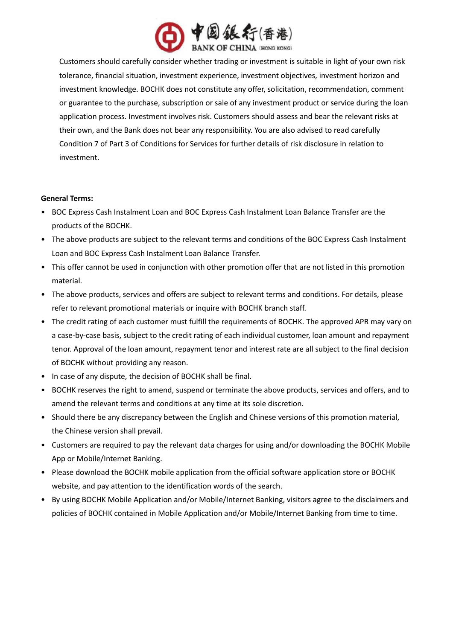

Customers should carefully consider whether trading or investment is suitable in light of your own risk tolerance, financial situation, investment experience, investment objectives, investment horizon and investment knowledge. BOCHK does not constitute any offer, solicitation, recommendation, comment or guarantee to the purchase, subscription or sale of any investment product or service during the loan application process. Investment involves risk. Customers should assess and bear the relevant risks at their own, and the Bank does not bear any responsibility. You are also advised to read carefully Condition 7 of Part 3 of Conditions for Services for further details of risk disclosure in relation to investment.

# **General Terms:**

- BOC Express Cash Instalment Loan and BOC Express Cash Instalment Loan Balance Transfer are the products of the BOCHK.
- The above products are subject to the relevant terms and conditions of the BOC Express Cash Instalment Loan and BOC Express Cash Instalment Loan Balance Transfer.
- This offer cannot be used in conjunction with other promotion offer that are not listed in this promotion material.
- The above products, services and offers are subject to relevant terms and conditions. For details, please refer to relevant promotional materials or inquire with BOCHK branch staff.
- The credit rating of each customer must fulfill the requirements of BOCHK. The approved APR may vary on a case-by-case basis, subject to the credit rating of each individual customer, loan amount and repayment tenor. Approval of the loan amount, repayment tenor and interest rate are all subject to the final decision of BOCHK without providing any reason.
- In case of any dispute, the decision of BOCHK shall be final.
- BOCHK reserves the right to amend, suspend or terminate the above products, services and offers, and to amend the relevant terms and conditions at any time at its sole discretion.
- Should there be any discrepancy between the English and Chinese versions of this promotion material, the Chinese version shall prevail.
- Customers are required to pay the relevant data charges for using and/or downloading the BOCHK Mobile App or Mobile/Internet Banking.
- Please download the BOCHK mobile application from the official software application store or BOCHK website, and pay attention to the identification words of the search.
- By using BOCHK Mobile Application and/or Mobile/Internet Banking, visitors agree to the disclaimers and policies of BOCHK contained in Mobile Application and/or Mobile/Internet Banking from time to time.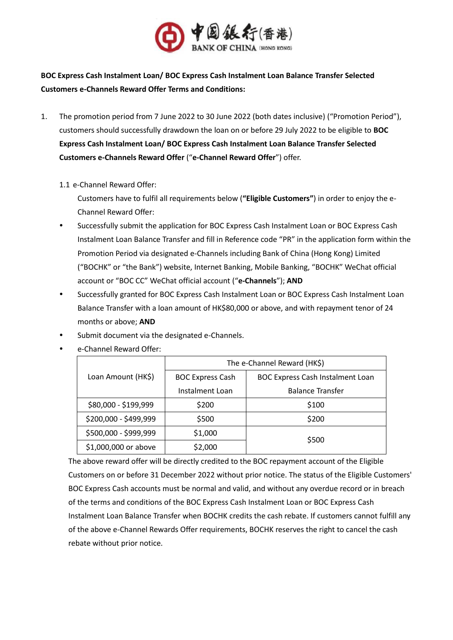

**BOC Express Cash Instalment Loan/ BOC Express Cash Instalment Loan Balance Transfer Selected Customers e-Channels Reward Offer Terms and Conditions:**

- 1. The promotion period from 7 June 2022 to 30 June 2022 (both dates inclusive) ("Promotion Period"), customers should successfully drawdown the loan on or before 29 July 2022 to be eligible to **BOC Express Cash Instalment Loan/ BOC Express Cash Instalment Loan Balance Transfer Selected Customers e-Channels Reward Offer** ("**e-Channel Reward Offer**") offer.
	- 1.1 e-Channel Reward Offer:

Customers have to fulfil all requirements below (**"Eligible Customers"**) in order to enjoy the e-Channel Reward Offer:

- Successfully submit the application for BOC Express Cash Instalment Loan or BOC Express Cash Instalment Loan Balance Transfer and fill in Reference code "PR" in the application form within the Promotion Period via designated e-Channels including Bank of China (Hong Kong) Limited ("BOCHK" or "the Bank") website, Internet Banking, Mobile Banking, "BOCHK" WeChat official account or "BOC CC" WeChat official account ("**e-Channels**"); **AND**
- \* Successfully granted for BOC Express Cash Instalment Loan or BOC Express Cash Instalment Loan Balance Transfer with a loan amount of HK\$80,000 or above, and with repayment tenor of 24 months or above; **AND**
- Submit document via the designated e-Channels.

|                       | The e-Channel Reward (HK\$) |                                         |
|-----------------------|-----------------------------|-----------------------------------------|
| Loan Amount (HK\$)    | <b>BOC Express Cash</b>     | <b>BOC Express Cash Instalment Loan</b> |
|                       | Instalment Loan             | <b>Balance Transfer</b>                 |
| \$80,000 - \$199,999  | \$200                       | \$100                                   |
| \$200,000 - \$499,999 | \$500                       | \$200                                   |
| \$500,000 - \$999,999 | \$1,000                     | \$500                                   |
| \$1,000,000 or above  | \$2,000                     |                                         |

e-Channel Reward Offer:

The above reward offer will be directly credited to the BOC repayment account of the Eligible Customers on or before 31 December 2022 without prior notice. The status of the Eligible Customers' BOC Express Cash accounts must be normal and valid, and without any overdue record or in breach of the terms and conditions of the BOC Express Cash Instalment Loan or BOC Express Cash Instalment Loan Balance Transfer when BOCHK credits the cash rebate. If customers cannot fulfill any of the above e-Channel Rewards Offer requirements, BOCHK reserves the right to cancel the cash rebate without prior notice.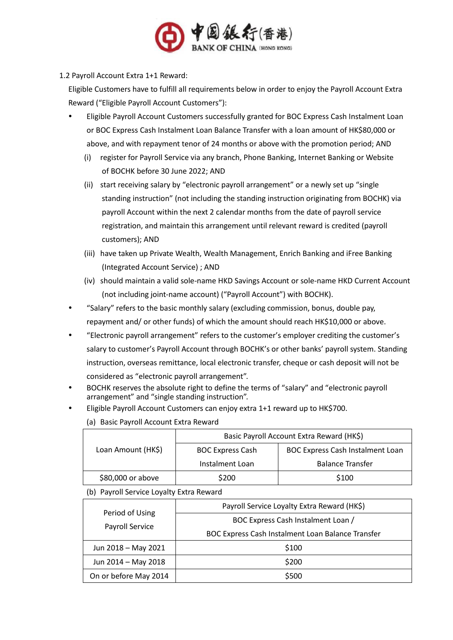

1.2 Payroll Account Extra 1+1 Reward:

Eligible Customers have to fulfill all requirements below in order to enjoy the Payroll Account Extra Reward ("Eligible Payroll Account Customers"):

- Eligible Payroll Account Customers successfully granted for BOC Express Cash Instalment Loan or BOC Express Cash Instalment Loan Balance Transfer with a loan amount of HK\$80,000 or above, and with repayment tenor of 24 months or above with the promotion period; AND
	- (i) register for Payroll Service via any branch, Phone Banking, Internet Banking or Website of BOCHK before 30 June 2022; AND
	- (ii) start receiving salary by "electronic payroll arrangement" or a newly set up "single standing instruction" (not including the standing instruction originating from BOCHK) via payroll Account within the next 2 calendar months from the date of payroll service registration, and maintain this arrangement until relevant reward is credited (payroll customers); AND
	- (iii) have taken up Private Wealth, Wealth Management, Enrich Banking and iFree Banking (Integrated Account Service) ; AND
	- (iv) should maintain a valid sole-name HKD Savings Account or sole-name HKD Current Account (not including joint-name account) ("Payroll Account") with BOCHK).
- "Salary" refers to the basic monthly salary (excluding commission, bonus, double pay, repayment and/ or other funds) of which the amount should reach HK\$10,000 or above.
- "Electronic payroll arrangement" refers to the customer's employer crediting the customer's salary to customer's Payroll Account through BOCHK's or other banks' payroll system. Standing instruction, overseas remittance, local electronic transfer, cheque or cash deposit will not be considered as "electronic payroll arrangement".
- BOCHK reserves the absolute right to define the terms of "salary" and "electronic payroll arrangement" and "single standing instruction".
- Eligible Payroll Account Customers can enjoy extra 1+1 reward up to HK\$700.

|                    | Basic Payroll Account Extra Reward (HK\$) |                                         |  |
|--------------------|-------------------------------------------|-----------------------------------------|--|
| Loan Amount (HK\$) | <b>BOC Express Cash</b>                   | <b>BOC Express Cash Instalment Loan</b> |  |
|                    | Instalment Loan                           | <b>Balance Transfer</b>                 |  |
| \$80,000 or above  | \$200                                     | \$100                                   |  |

(a) Basic Payroll Account Extra Reward

(b) Payroll Service Loyalty Extra Reward

| Period of Using<br>Payroll Service | Payroll Service Loyalty Extra Reward (HK\$)       |  |
|------------------------------------|---------------------------------------------------|--|
|                                    | BOC Express Cash Instalment Loan /                |  |
|                                    | BOC Express Cash Instalment Loan Balance Transfer |  |
| Jun 2018 - May 2021                | \$100                                             |  |
| Jun 2014 - May 2018                | \$200                                             |  |
| On or before May 2014              | \$500                                             |  |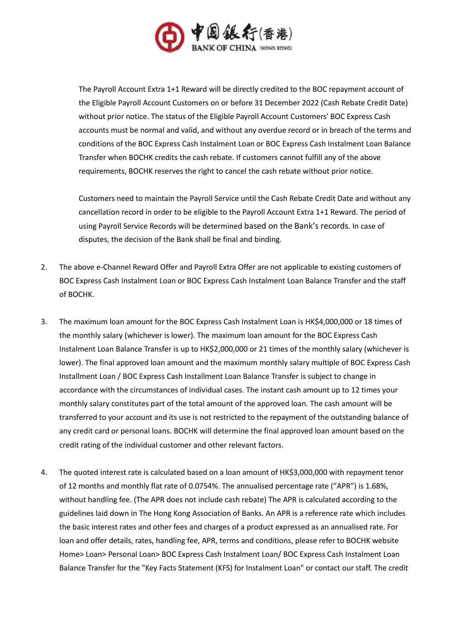

The Payroll Account Extra 1+1 Reward will be directly credited to the BOC repayment account of the Eligible Payroll Account Customers on or before 31 December 2022 (Cash Rebate Credit Date) without prior notice. The status of the Eligible Payroll Account Customers' BOC Express Cash accounts must be normal and valid, and without any overdue record or in breach of the terms and conditions of the BOC Express Cash Instalment Loan or BOC Express Cash Instalment Loan Balance Transfer when BOCHK credits the cash rebate. If customers cannot fulfill any of the above requirements, BOCHK reserves the right to cancel the cash rebate without prior notice.

Customers need to maintain the Payroll Service until the Cash Rebate Credit Date and without any cancellation record in order to be eligible to the Payroll Account Extra 1+1 Reward. The period of using Payroll Service Records will be determined based on the Bank's records. In case of disputes, the decision of the Bank shall be final and binding.

- 2. The above e-Channel Reward Offer and Payroll Extra Offer are not applicable to existing customers of BOC Express Cash Instalment Loan or BOC Express Cash Instalment Loan Balance Transfer and the staff of BOCHK.
- 3. The maximum loan amount for the BOC Express Cash Instalment Loan is HK\$4,000,000 or 18 times of the monthly salary (whichever is lower). The maximum loan amount for the BOC Express Cash Instalment Loan Balance Transfer is up to HK\$2,000,000 or 21 times of the monthly salary (whichever is lower). The final approved loan amount and the maximum monthly salary multiple of BOC Express Cash Installment Loan / BOC Express Cash Installment Loan Balance Transfer is subject to change in accordance with the circumstances of individual cases. The instant cash amount up to 12 times your monthly salary constitutes part of the total amount of the approved loan. The cash amount will be transferred to your account and its use is not restricted to the repayment of the outstanding balance of any credit card or personal loans. BOCHK will determine the final approved loan amount based on the credit rating of the individual customer and other relevant factors.
- 4. The quoted interest rate is calculated based on a loan amount of HK\$3,000,000 with repayment tenor of 12 months and monthly flat rate of 0.0754%. The annualised percentage rate ("APR") is 1.68%, without handling fee. (The APR does not include cash rebate) The APR is calculated according to the guidelines laid down in The Hong Kong Association of Banks. An APR is a reference rate which includes the basic interest rates and other fees and charges of a product expressed as an annualised rate. For loan and offer details, rates, handling fee, APR, terms and conditions, please refer to BOCHK website Home> Loan> Personal Loan> BOC Express Cash Instalment Loan/ BOC Express Cash Instalment Loan Balance Transfer for the "Key Facts Statement (KFS) for Instalment Loan" or contact our staff. The credit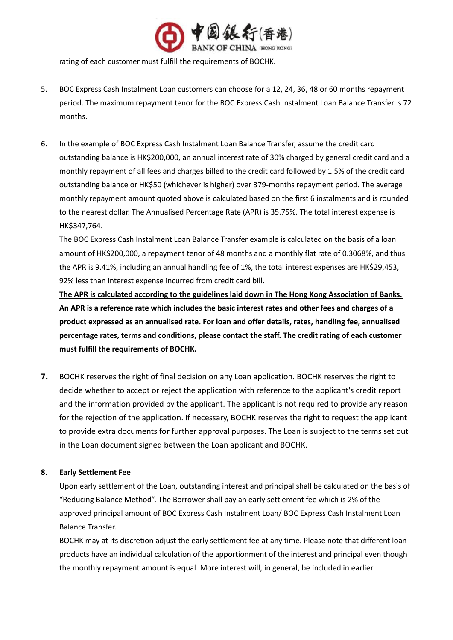

rating of each customer must fulfill the requirements of BOCHK.

- 5. BOC Express Cash Instalment Loan customers can choose for a 12, 24, 36, 48 or 60 months repayment period. The maximum repayment tenor for the BOC Express Cash Instalment Loan Balance Transfer is 72 months.
- 6. In the example of BOC Express Cash Instalment Loan Balance Transfer, assume the credit card outstanding balance is HK\$200,000, an annual interest rate of 30% charged by general credit card and a monthly repayment of all fees and charges billed to the credit card followed by 1.5% of the credit card outstanding balance or HK\$50 (whichever is higher) over 379-months repayment period. The average monthly repayment amount quoted above is calculated based on the first 6 instalments and is rounded to the nearest dollar. The Annualised Percentage Rate (APR) is 35.75%. The total interest expense is HK\$347,764.

The BOC Express Cash Instalment Loan Balance Transfer example is calculated on the basis of a loan amount of HK\$200,000, a repayment tenor of 48 months and a monthly flat rate of 0.3068%, and thus the APR is 9.41%, including an annual handling fee of 1%, the total interest expenses are HK\$29,453, 92% less than interest expense incurred from credit card bill.

**The APR is calculated according to the guidelines laid down in The Hong Kong Association of Banks. An APR is a reference rate which includes the basic interest rates and other fees and charges of a product expressed as an annualised rate. For loan and offer details, rates, handling fee, annualised percentage rates, terms and conditions, please contact the staff. The credit rating of each customer must fulfill the requirements of BOCHK.** 

**7.** BOCHK reserves the right of final decision on any Loan application. BOCHK reserves the right to decide whether to accept or reject the application with reference to the applicant's credit report and the information provided by the applicant. The applicant is not required to provide any reason for the rejection of the application. If necessary, BOCHK reserves the right to request the applicant to provide extra documents for further approval purposes. The Loan is subject to the terms set out in the Loan document signed between the Loan applicant and BOCHK.

# **8. Early Settlement Fee**

Upon early settlement of the Loan, outstanding interest and principal shall be calculated on the basis of "Reducing Balance Method". The Borrower shall pay an early settlement fee which is 2% of the approved principal amount of BOC Express Cash Instalment Loan/ BOC Express Cash Instalment Loan Balance Transfer.

BOCHK may at its discretion adjust the early settlement fee at any time. Please note that different loan products have an individual calculation of the apportionment of the interest and principal even though the monthly repayment amount is equal. More interest will, in general, be included in earlier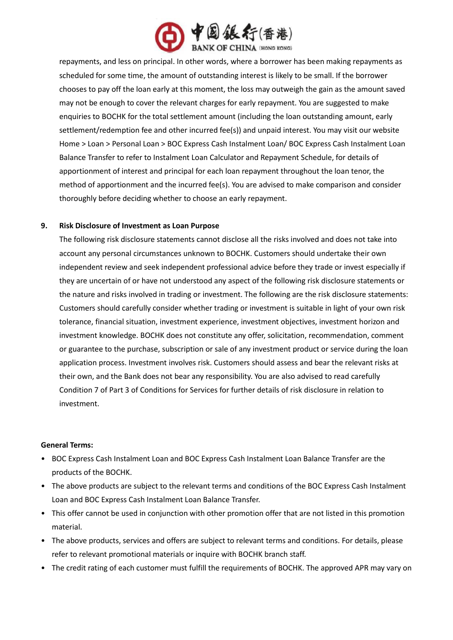

repayments, and less on principal. In other words, where a borrower has been making repayments as scheduled for some time, the amount of outstanding interest is likely to be small. If the borrower chooses to pay off the loan early at this moment, the loss may outweigh the gain as the amount saved may not be enough to cover the relevant charges for early repayment. You are suggested to make enquiries to BOCHK for the total settlement amount (including the loan outstanding amount, early settlement/redemption fee and other incurred fee(s)) and unpaid interest. You may visit our website Home > Loan > Personal Loan > BOC Express Cash Instalment Loan/ BOC Express Cash Instalment Loan Balance Transfer to refer to Instalment Loan Calculator and Repayment Schedule, for details of apportionment of interest and principal for each loan repayment throughout the loan tenor, the method of apportionment and the incurred fee(s). You are advised to make comparison and consider thoroughly before deciding whether to choose an early repayment.

#### **9. Risk Disclosure of Investment as Loan Purpose**

The following risk disclosure statements cannot disclose all the risks involved and does not take into account any personal circumstances unknown to BOCHK. Customers should undertake their own independent review and seek independent professional advice before they trade or invest especially if they are uncertain of or have not understood any aspect of the following risk disclosure statements or the nature and risks involved in trading or investment. The following are the risk disclosure statements: Customers should carefully consider whether trading or investment is suitable in light of your own risk tolerance, financial situation, investment experience, investment objectives, investment horizon and investment knowledge. BOCHK does not constitute any offer, solicitation, recommendation, comment or guarantee to the purchase, subscription or sale of any investment product or service during the loan application process. Investment involves risk. Customers should assess and bear the relevant risks at their own, and the Bank does not bear any responsibility. You are also advised to read carefully Condition 7 of Part 3 of Conditions for Services for further details of risk disclosure in relation to investment.

#### **General Terms:**

- BOC Express Cash Instalment Loan and BOC Express Cash Instalment Loan Balance Transfer are the products of the BOCHK.
- The above products are subject to the relevant terms and conditions of the BOC Express Cash Instalment Loan and BOC Express Cash Instalment Loan Balance Transfer.
- This offer cannot be used in conjunction with other promotion offer that are not listed in this promotion material.
- The above products, services and offers are subject to relevant terms and conditions. For details, please refer to relevant promotional materials or inquire with BOCHK branch staff.
- The credit rating of each customer must fulfill the requirements of BOCHK. The approved APR may vary on